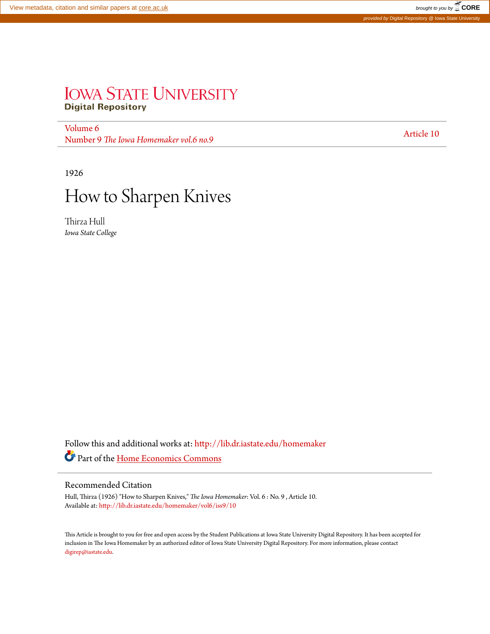# **IOWA STATE UNIVERSITY Digital Repository**

[Volume 6](http://lib.dr.iastate.edu/homemaker/vol6?utm_source=lib.dr.iastate.edu%2Fhomemaker%2Fvol6%2Fiss9%2F10&utm_medium=PDF&utm_campaign=PDFCoverPages) volume 0<br>Number 9 *[The Iowa Homemaker vol.6 no.9](http://lib.dr.iastate.edu/homemaker/vol6/iss9?utm_source=lib.dr.iastate.edu%2Fhomemaker%2Fvol6%2Fiss9%2F10&utm_medium=PDF&utm_campaign=PDFCoverPages)* [Article 10](http://lib.dr.iastate.edu/homemaker/vol6/iss9/10?utm_source=lib.dr.iastate.edu%2Fhomemaker%2Fvol6%2Fiss9%2F10&utm_medium=PDF&utm_campaign=PDFCoverPages)

1926



Thirza Hull *Iowa State College*

Follow this and additional works at: [http://lib.dr.iastate.edu/homemaker](http://lib.dr.iastate.edu/homemaker?utm_source=lib.dr.iastate.edu%2Fhomemaker%2Fvol6%2Fiss9%2F10&utm_medium=PDF&utm_campaign=PDFCoverPages) Part of the [Home Economics Commons](http://network.bepress.com/hgg/discipline/1055?utm_source=lib.dr.iastate.edu%2Fhomemaker%2Fvol6%2Fiss9%2F10&utm_medium=PDF&utm_campaign=PDFCoverPages)

# Recommended Citation

Hull, Thirza (1926) "How to Sharpen Knives," *The Iowa Homemaker*: Vol. 6 : No. 9 , Article 10. Available at: [http://lib.dr.iastate.edu/homemaker/vol6/iss9/10](http://lib.dr.iastate.edu/homemaker/vol6/iss9/10?utm_source=lib.dr.iastate.edu%2Fhomemaker%2Fvol6%2Fiss9%2F10&utm_medium=PDF&utm_campaign=PDFCoverPages)

This Article is brought to you for free and open access by the Student Publications at Iowa State University Digital Repository. It has been accepted for inclusion in The Iowa Homemaker by an authorized editor of Iowa State University Digital Repository. For more information, please contact [digirep@iastate.edu](mailto:digirep@iastate.edu).